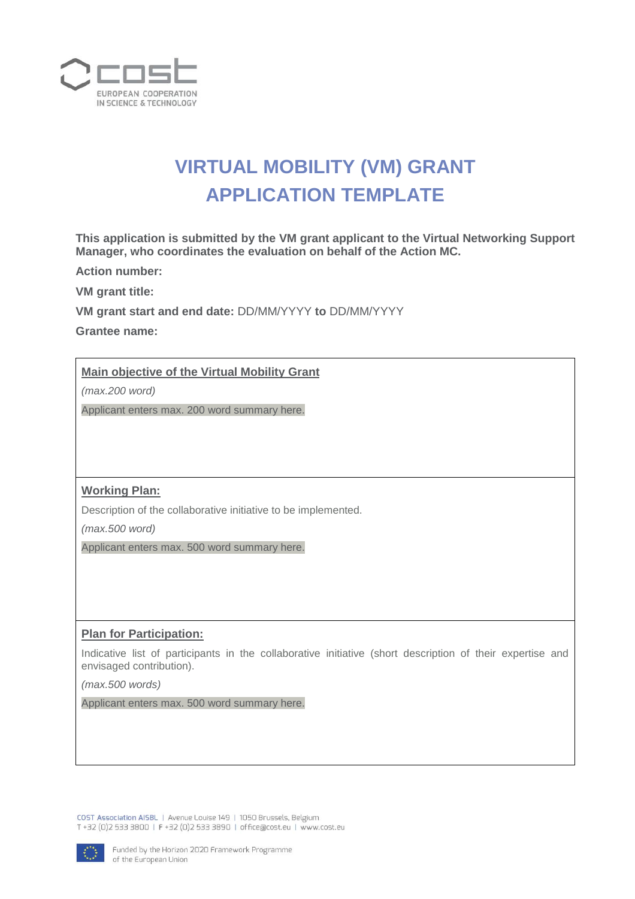

# **VIRTUAL MOBILITY (VM) GRANT APPLICATION TEMPLATE**

**This application is submitted by the VM grant applicant to the Virtual Networking Support Manager, who coordinates the evaluation on behalf of the Action MC.**

**Action number:** 

**VM grant title:**

**VM grant start and end date:** DD/MM/YYYY **to** DD/MM/YYYY

**Grantee name:** 

## **Main objective of the Virtual Mobility Grant**

*(max.200 word)* 

Applicant enters max. 200 word summary here.

## **Working Plan:**

Description of the collaborative initiative to be implemented.

*(max.500 word)* 

Applicant enters max. 500 word summary here.

#### **Plan for Participation:**

Indicative list of participants in the collaborative initiative (short description of their expertise and envisaged contribution).

*(max.500 words)* 

Applicant enters max. 500 word summary here.

COST Association AISBL | Avenue Louise 149 | 1050 Brussels, Belgium T +32 (0)2 533 3800 | F +32 (0)2 533 3890 | office@cost.eu | www.cost.eu